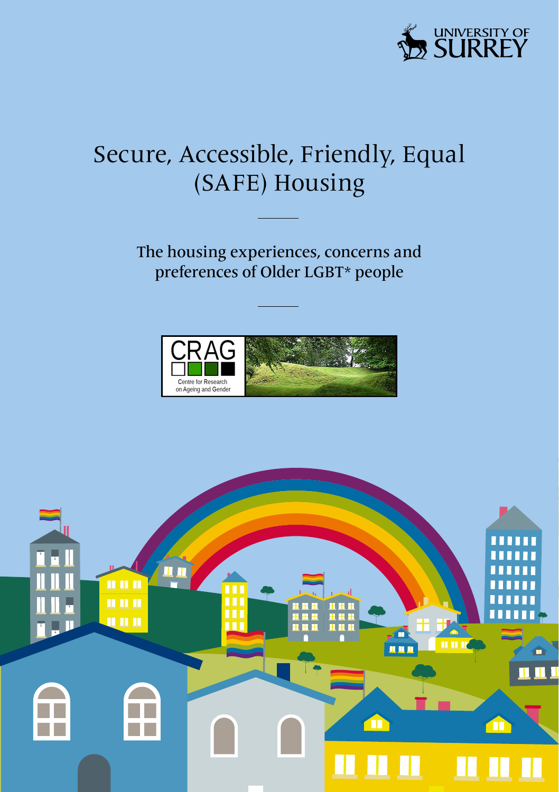

### Secure, Accessible, Friendly, Equal (SAFE) Housing

The housing experiences, concerns and preferences of Older LGBT\* people



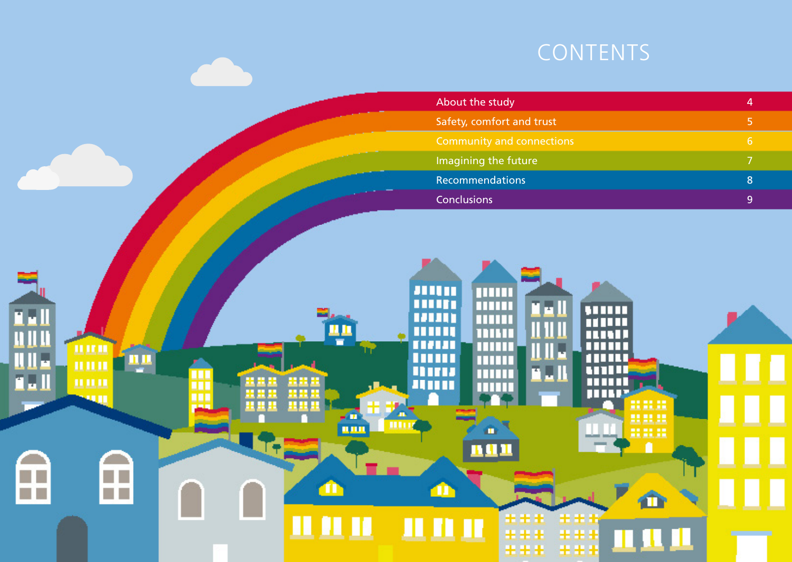## **CONTENTS**

| About the study                  | 4 |
|----------------------------------|---|
| Safety, comfort and trust        | 5 |
| <b>Community and connections</b> | 6 |
| Imagining the future             |   |
| Recommendations                  | 8 |
| <b>Conclusions</b>               | q |

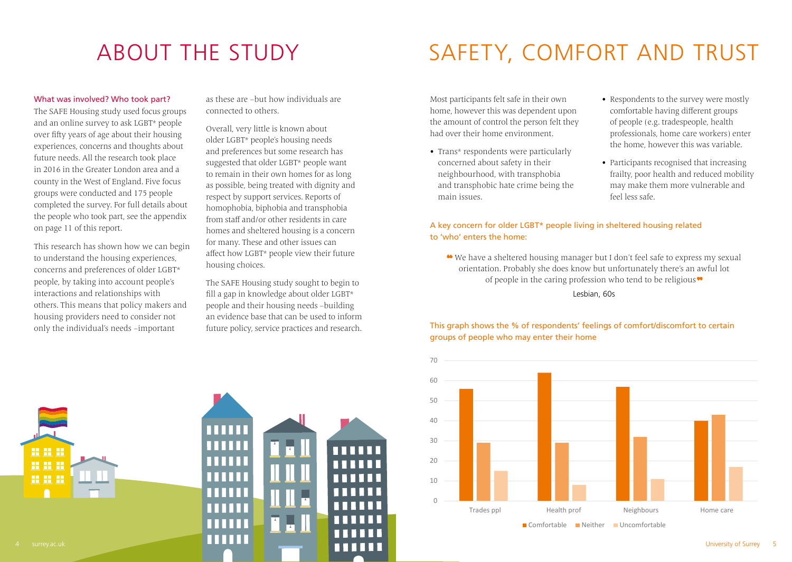### What was involved? Who took part?

The SAFE Housing study used focus groups and an online survey to ask LGBT\* people over fifty years of age about their housing experiences, concerns and thoughts about future needs. All the research took place in 2016 in the Greater London area and a county in the West of England. Five focus groups were conducted and 175 people completed the survey. For full details about the people who took part, see the appendix on page 11 of this report.

This research has shown how we can begin to understand the housing experiences, concerns and preferences of older LGBT\* people, by taking into account people's interactions and relationships with others. This means that policy makers and housing providers need to consider not only the individual's needs –important

as these are –but how individuals are connected to others.

Overall, very little is known about older LGBT\* people's housing needs and preferences but some research has suggested that older LGBT\* people want to remain in their own homes for as long as possible, being treated with dignity and respect by support services. Reports of homophobia, biphobia and transphobia from staff and/or other residents in care homes and sheltered housing is a concern for many. These and other issues can affect how LGBT\* people view their future housing choices.

The SAFE Housing study sought to begin to fill a gap in knowledge about older LGBT\* people and their housing needs –building an evidence base that can be used to inform future policy, service practices and research.

## ABOUT THE STUDY SAFETY, COMFORT AND TRUST

Most participants felt safe in their own home, however this was dependent upon the amount of control the person felt they had over their home environment.

- Trans\* respondents were particularly concerned about safety in their neighbourhood, with transphobia and transphobic hate crime being the main issues.
- Respondents to the survey were mostly comfortable having different groups of people (e.g. tradespeople, health professionals, home care workers) enter the home, however this was variable.
- Participants recognised that increasing frailty, poor health and reduced mobility may make them more vulnerable and feel less safe.

### A key concern for older LGBT\* people living in sheltered housing related to 'who' enters the home:

We have a sheltered housing manager but I don't feel safe to express my sexual orientation. Probably she does know but unfortunately there's an awful lot of people in the caring profession who tend to be religious

Lesbian, 60s

### This graph shows the % of respondents' feelings of comfort/discomfort to certain groups of people who may enter their home

![](_page_2_Figure_16.jpeg)

![](_page_2_Picture_17.jpeg)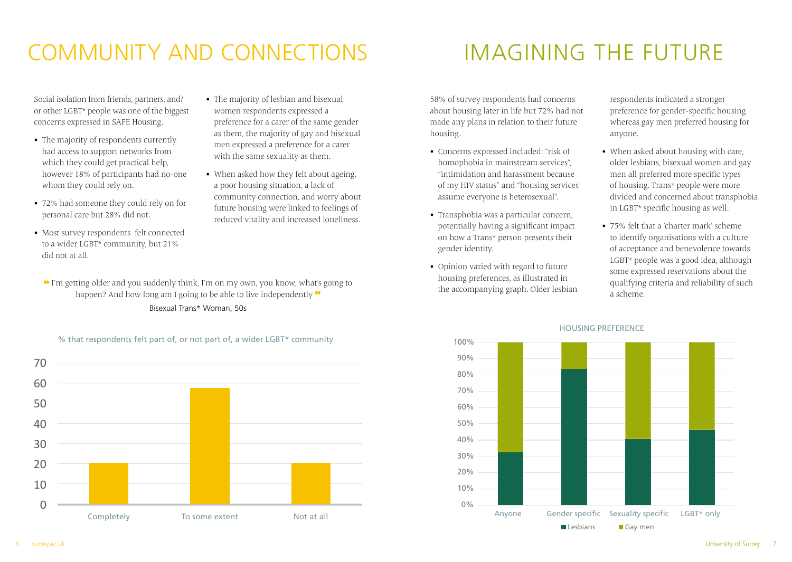# COMMUNITY AND CONNECTIONS IMAGINING THE FUTURE

Social isolation from friends, partners, and/ or other LGBT\* people was one of the biggest concerns expressed in SAFE Housing.

- The majority of respondents currently had access to support networks from which they could get practical help, however 18% of participants had no-one whom they could rely on.
- 72% had someone they could rely on for personal care but 28% did not.
- Most survey respondents felt connected to a wider LGBT\* community, but 21% did not at all.
- The majority of lesbian and bisexual women respondents expressed a preference for a carer of the same gender as them, the majority of gay and bisexual men expressed a preference for a carer with the same sexuality as them.
- When asked how they felt about ageing, a poor housing situation, a lack of community connection, and worry about future housing were linked to feelings of reduced vitality and increased loneliness.

 I'm getting older and you suddenly think, I'm on my own, you know, what's going to happen? And how long am I going to be able to live independently  $\bullet$ Bisexual Trans\* Woman, 50s

% that respondents felt part of, or not part of, a wider LGBT\* community

 $\cap$ 10  $20$ 30 40 50 60 70 Completely To some extent Not at all Notat all Sompletely anyone Gender specific Sexuality specific LGBT\* only

58% of survey respondents had concerns about housing later in life but 72% had not made any plans in relation to their future housing.

- Concerns expressed included: "risk of homophobia in mainstream services", "intimidation and harassment because of my HIV status" and "housing services assume everyone is heterosexual".
- Transphobia was a particular concern, potentially having a significant impact on how a Trans\* person presents their gender identity.
- Opinion varied with regard to future housing preferences, as illustrated in the accompanying graph. Older lesbian

respondents indicated a stronger preference for gender-specific housing whereas gay men preferred housing for anyone.

- When asked about housing with care, older lesbians, bisexual women and gay men all preferred more specific types of housing. Trans\* people were more divided and concerned about transphobia in LGBT\* specific housing as well.
- 75% felt that a 'charter mark' scheme to identify organisations with a culture of acceptance and benevolence towards LGBT\* people was a good idea, although some expressed reservations about the qualifying criteria and reliability of such a scheme.

![](_page_3_Figure_17.jpeg)

### HOUSING PREFERENCE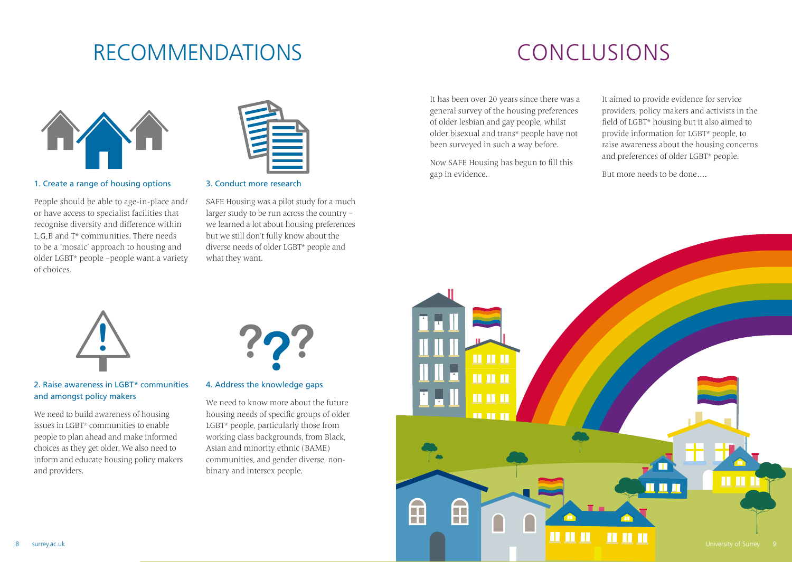## RECOMMENDATIONS CONCLUSIONS

![](_page_4_Picture_2.jpeg)

### 1. Create a range of housing options

People should be able to age-in-place and/ or have access to specialist facilities that recognise diversity and difference within L,G,B and T\* communities. There needs to be a 'mosaic' approach to housing and older LGBT\* people –people want a variety of choices.

![](_page_4_Picture_5.jpeg)

3. Conduct more research

SAFE Housing was a pilot study for a much larger study to be run across the country – we learned a lot about housing preferences but we still don't fully know about the diverse needs of older LGBT\* people and what they want.

It has been over 20 years since there was a general survey of the housing preferences of older lesbian and gay people, whilst older bisexual and trans\* people have not been surveyed in such a way before.

Now SAFE Housing has begun to fill this gap in evidence.

It aimed to provide evidence for service providers, policy makers and activists in the field of LGBT\* housing but it also aimed to provide information for LGBT\* people, to raise awareness about the housing concerns and preferences of older LGBT\* people.

But more needs to be done….

![](_page_4_Picture_12.jpeg)

### 2. Raise awareness in LGBT\* communities and amongst policy makers

We need to build awareness of housing issues in LGBT\* communities to enable people to plan ahead and make informed choices as they get older. We also need to inform and educate housing policy makers and providers.

![](_page_4_Figure_15.jpeg)

### 4. Address the knowledge gaps

We need to know more about the future housing needs of specific groups of older LGBT\* people, particularly those from working class backgrounds, from Black, Asian and minority ethnic (BAME) communities, and gender diverse, nonbinary and intersex people.

![](_page_4_Figure_18.jpeg)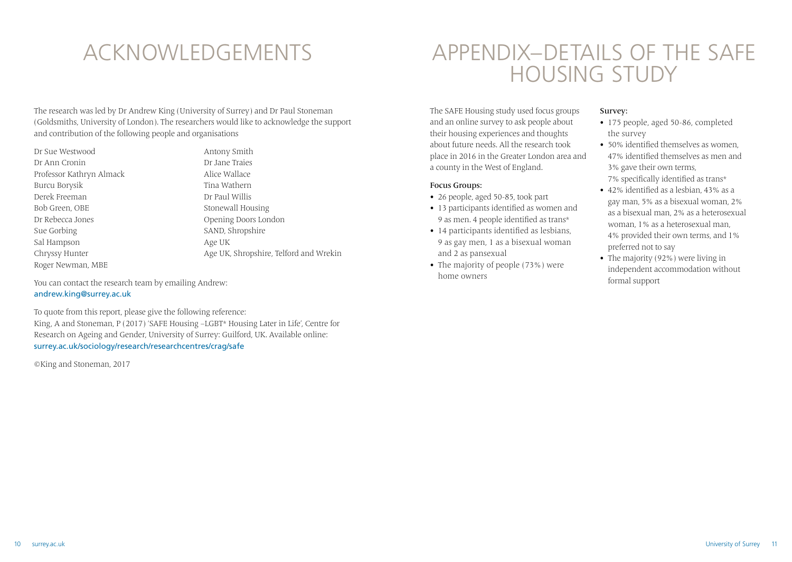The research was led by Dr Andrew King (University of Surrey) and Dr Paul Stoneman (Goldsmiths, University of London). The researchers would like to acknowledge the support and contribution of the following people and organisations

Dr Sue Westwood Dr Ann Cronin Professor Kathryn Almack Burcu Borysik Derek Freeman Bob Green, OBE Dr Rebecca Jones Sue Gorbing Sal Hampson Chryssy Hunter Roger Newman, MBE

Antony Smith Dr Jane Traies Alice Wallace Tina Wathern Dr Paul Willis Stonewall Housing Opening Doors London SAND, Shropshire Age UK Age UK, Shropshire, Telford and Wrekin

You can contact the research team by emailing Andrew: andrew.king@surrey.ac.uk

To quote from this report, please give the following reference: King, A and Stoneman, P (2017) 'SAFE Housing –LGBT\* Housing Later in Life', Centre for Research on Ageing and Gender, University of Surrey: Guilford, UK. Available online: surrey.ac.uk/sociology/research/researchcentres/crag/safe

©King and Stoneman, 2017

## ACKNOWLEDGEMENTS APPENDIX–DETAILS OF THE SAFE HOUSING STUDY

The SAFE Housing study used focus groups and an online survey to ask people about their housing experiences and thoughts about future needs. All the research took place in 2016 in the Greater London area and a county in the West of England.

### Focus Groups:

- 26 people, aged 50-85, took part
- 13 participants identified as women and 9 as men. 4 people identified as trans\*
- 14 participants identified as lesbians, 9 as gay men, 1 as a bisexual woman and 2 as pansexual
- The majority of people (73%) were home owners

### Survey:

- 175 people, aged 50-86, completed the survey
- 50% identified themselves as women, 47% identified themselves as men and 3% gave their own terms, 7% specifically identified as trans\*
- 42% identified as a lesbian, 43% as a gay man, 5% as a bisexual woman, 2% as a bisexual man, 2% as a heterosexual woman, 1% as a heterosexual man, 4% provided their own terms, and 1% preferred not to say
- The majority (92%) were living in independent accommodation without formal support